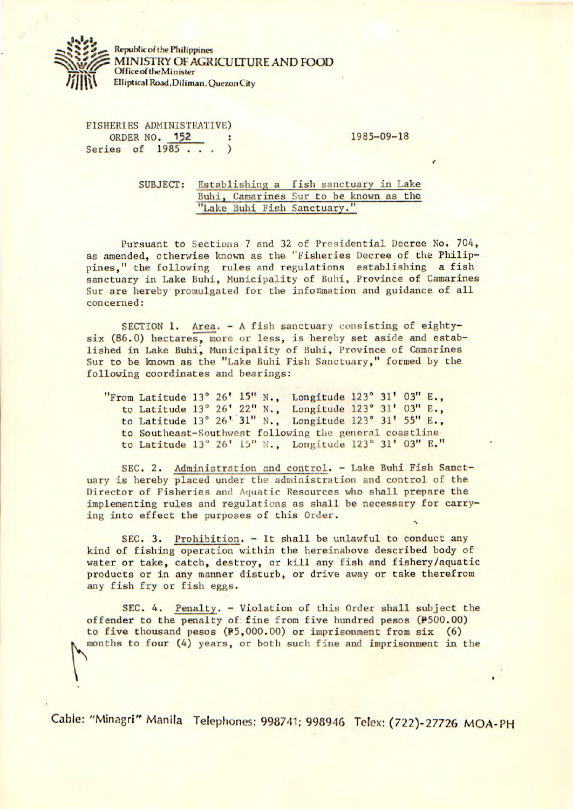

**Republic of the Philippines**  MINISTRY OF AGRICULTURE AND FOOD **Office of the Minister Elliptical Road, Diliman, Quezon City** 

FISHERIES ADMINISTRATIVE) ORDER NO. 152 : 1985-09-18 Series of 1985 . . . )

SUBJECT: Establishing a fish sanctuary in Lake Buhi, Camarines Sur to be known as the "Lake Buhi Fish Sanctuary."

Pursuant to Sections 7 and 32 of Presidential Decree No. 704, as amended, otherwise known as the "Fisheries Decree of the Philippines," the following rules and regulations establishing a fish sanctuary in Lake Buhi, Municipality of Buhi, Province of Camarines Sur are hereby promulgated for the information and guidance of all concerned:

SECTION 1. Area. - A fish sanctuary consisting of eightysix (86.0) hectares, more or less, is hereby set aside and established in Lake Buhi, Municipality of Buhi, Province of Camarines Sur to be known as the "Lake Buhi Fish Sanctuary," formed by the following coordinates and bearings:

|  |  |  | "From Latitude 13° 26' 15" N., Longitude 123° 31' 03" E., |  |  |  |
|--|--|--|-----------------------------------------------------------|--|--|--|
|  |  |  | to Latitude 13° 26' 22" N., Longitude 123° 31' 03" E.,    |  |  |  |
|  |  |  | to Latitude 13° 26' 31" N., Longitude 123° 31' 55" E.,    |  |  |  |
|  |  |  | to Southeast-Southwest following the general coastline    |  |  |  |
|  |  |  | to Latitude 13° 26' 15" N., Longitude 123° 31' 03" E."    |  |  |  |

SEC. 2. Administration and control. - Lake Buhi Fish Sanctuary is hereby placed under the administration and control of the Director of Fisheries and Aquatic Resources who shall prepare the implementing rules and regulations as shall be necessary for carrying into effect the purposes of this Order.

SEC. 3. Prohibition. - It shall be unlawful to conduct any kind of fishing operation within the hereinabove described body of water or take, catch, destroy, or kill any fish and fishery/aquatic products or in any manner disturb, or drive away or take therefrom any fish fry or fish eggs.

SEC. 4. Penalty. - Violation of this Order shall subject the offender to the penalty of; fine from five hundred pesos (P500.00) to five thousand pesos (P5,000.00) or imprisonment from six (6) months to four (4) years, or both such fine and imprisonment in the

Cable: "Minagri" Manila Telephones: 998741; 998946 Telex: (722)-27726 MOA-PH